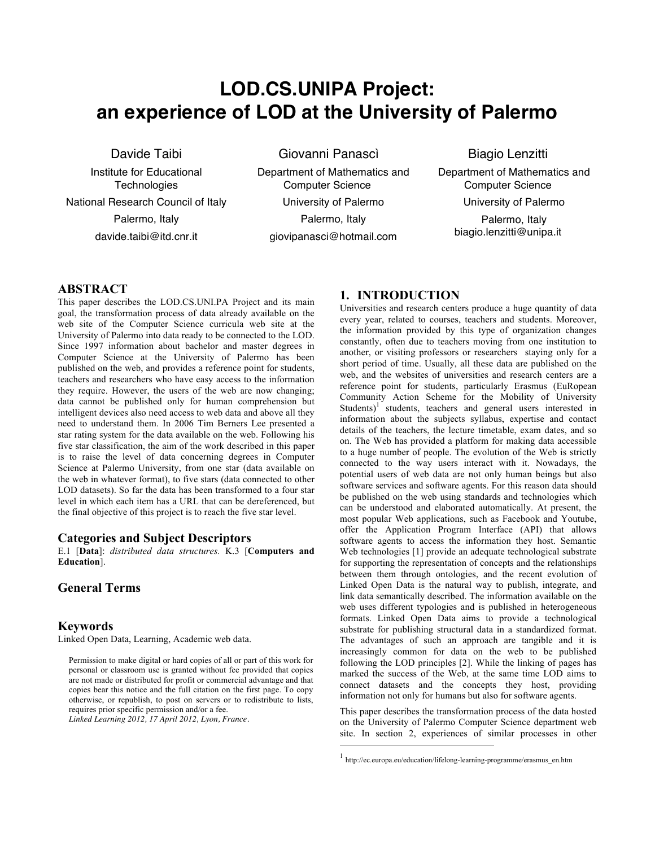# **LOD.CS.UNIPA Project: an experience of LOD at the University of Palermo**

Giovanni Panascì

Davide Taibi

Institute for Educational **Technologies** National Research Council of Italy Palermo, Italy

davide.taibi@itd.cnr.it

Department of Mathematics and Computer Science University of Palermo Palermo, Italy giovipanasci@hotmail.com

 $\overline{a}$ 

Biagio Lenzitti

Department of Mathematics and Computer Science University of Palermo Palermo, Italy biagio.lenzitti@unipa.it

## **ABSTRACT**

This paper describes the LOD.CS.UNI.PA Project and its main goal, the transformation process of data already available on the web site of the Computer Science curricula web site at the University of Palermo into data ready to be connected to the LOD. Since 1997 information about bachelor and master degrees in Computer Science at the University of Palermo has been published on the web, and provides a reference point for students, teachers and researchers who have easy access to the information they require. However, the users of the web are now changing; data cannot be published only for human comprehension but intelligent devices also need access to web data and above all they need to understand them. In 2006 Tim Berners Lee presented a star rating system for the data available on the web. Following his five star classification, the aim of the work described in this paper is to raise the level of data concerning degrees in Computer Science at Palermo University, from one star (data available on the web in whatever format), to five stars (data connected to other LOD datasets). So far the data has been transformed to a four star level in which each item has a URL that can be dereferenced, but the final objective of this project is to reach the five star level.

### **Categories and Subject Descriptors**

E.1 [**Data**]: *distributed data structures.* K.3 [**Computers and Education**].

# **General Terms**

### **Keywords**

Linked Open Data, Learning, Academic web data.

Permission to make digital or hard copies of all or part of this work for personal or classroom use is granted without fee provided that copies are not made or distributed for profit or commercial advantage and that copies bear this notice and the full citation on the first page. To copy otherwise, or republish, to post on servers or to redistribute to lists, requires prior specific permission and/or a fee.

*Linked Learning 2012, 17 April 2012, Lyon, France*.

# **1. INTRODUCTION**

Universities and research centers produce a huge quantity of data every year, related to courses, teachers and students. Moreover, the information provided by this type of organization changes constantly, often due to teachers moving from one institution to another, or visiting professors or researchers staying only for a short period of time. Usually, all these data are published on the web, and the websites of universities and research centers are a reference point for students, particularly Erasmus (EuRopean Community Action Scheme for the Mobility of University Students)<sup>1</sup> students, teachers and general users interested in information about the subjects syllabus, expertise and contact details of the teachers, the lecture timetable, exam dates, and so on. The Web has provided a platform for making data accessible to a huge number of people. The evolution of the Web is strictly connected to the way users interact with it. Nowadays, the potential users of web data are not only human beings but also software services and software agents. For this reason data should be published on the web using standards and technologies which can be understood and elaborated automatically. At present, the most popular Web applications, such as Facebook and Youtube, offer the Application Program Interface (API) that allows software agents to access the information they host. Semantic Web technologies [1] provide an adequate technological substrate for supporting the representation of concepts and the relationships between them through ontologies, and the recent evolution of Linked Open Data is the natural way to publish, integrate, and link data semantically described. The information available on the web uses different typologies and is published in heterogeneous formats. Linked Open Data aims to provide a technological substrate for publishing structural data in a standardized format. The advantages of such an approach are tangible and it is increasingly common for data on the web to be published following the LOD principles [2]. While the linking of pages has marked the success of the Web, at the same time LOD aims to connect datasets and the concepts they host, providing information not only for humans but also for software agents.

This paper describes the transformation process of the data hosted on the University of Palermo Computer Science department web site. In section 2, experiences of similar processes in other

 $^{\rm 1}$ http://ec.europa.eu/education/lifelong-learning-programme/erasmus\_en.htm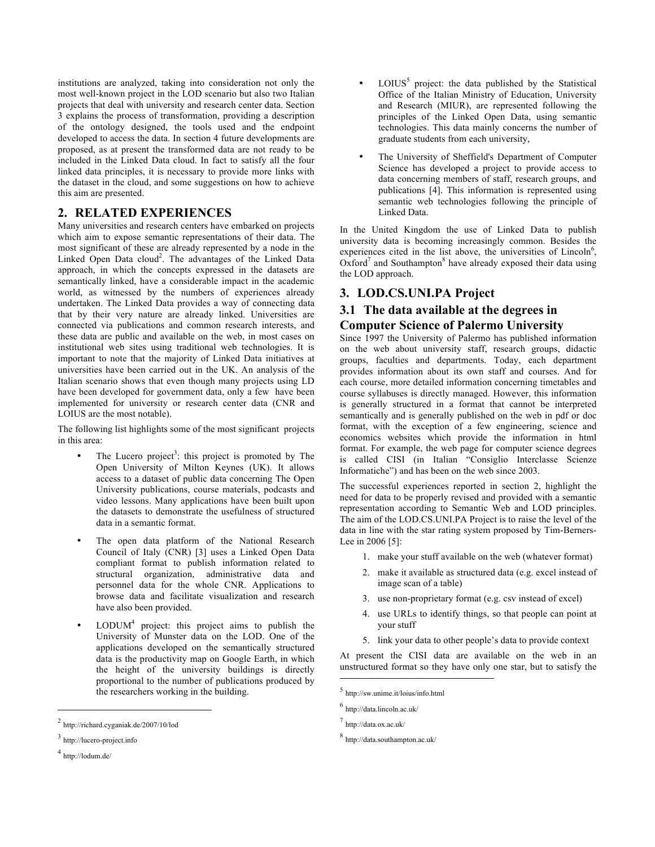institutions are analyzed, taking into consideration not only the most well-known project in the LOD scenario but also two Italian projects that deal with university and research center data. Section 3 explains the process of transformation, providing a description of the ontology designed, the tools used and the endpoint developed to access the data. In section 4 future developments are proposed, as at present the transformed data are not ready to be included in the Linked Data cloud. In fact to satisfy all the four linked data principles, it is necessary to provide more links with the dataset in the cloud, and some suggestions on how to achieve this aim are presented.

# **2. RELATED EXPERIENCES**

Many universities and research centers have embarked on projects which aim to expose semantic representations of their data. The most significant of these are already represented by a node in the Linked Open Data cloud<sup>2</sup>. The advantages of the Linked Data approach, in which the concepts expressed in the datasets are semantically linked, have a considerable impact in the academic world, as witnessed by the numbers of experiences already undertaken. The Linked Data provides a way of connecting data that by their very nature are already linked. Universities are connected via publications and common research interests, and these data are public and available on the web, in most cases on institutional web sites using traditional web technologies. It is important to note that the majority of Linked Data initiatives at universities have been carried out in the UK. An analysis of the Italian scenario shows that even though many projects using LD have been developed for government data, only a few have been implemented for university or research center data (CNR and LOIUS are the most notable).

The following list highlights some of the most significant projects in this area:

- The Lucero project<sup>3</sup>: this project is promoted by The Open University of Milton Keynes (UK). It allows access to a dataset of public data concerning The Open University publications, course materials, podcasts and video lessons. Many applications have been built upon the datasets to demonstrate the usefulness of structured data in a semantic format.
- The open data platform of the National Research Council of Italy (CNR) [3] uses a Linked Open Data compliant format to publish information related to structural organization, administrative data and personnel data for the whole CNR. Applications to browse data and facilitate visualization and research have also been provided.
- $LODUM<sup>4</sup>$  project: this project aims to publish the University of Munster data on the LOD. One of the applications developed on the semantically structured data is the productivity map on Google Earth, in which the height of the university buildings is directly proportional to the number of publications produced by the researchers working in the building.

j

- $LOIUS<sup>5</sup>$  project: the data published by the Statistical Office of the Italian Ministry of Education, University and Research (MIUR), are represented following the principles of the Linked Open Data, using semantic technologies. This data mainly concerns the number of graduate students from each university,
- The University of Sheffield's Department of Computer Science has developed a project to provide access to data concerning members of staff, research groups, and publications [4]. This information is represented using semantic web technologies following the principle of Linked Data.

In the United Kingdom the use of Linked Data to publish university data is becoming increasingly common. Besides the experiences cited in the list above, the universities of Lincoln $6$ ,  $Ox$  ford<sup>7</sup> and Southampton<sup>8</sup> have already exposed their data using the LOD approach.

# **3. LOD.CS.UNI.PA Project**

# **3.1 The data available at the degrees in Computer Science of Palermo University**

Since 1997 the University of Palermo has published information on the web about university staff, research groups, didactic groups, faculties and departments. Today, each department provides information about its own staff and courses. And for each course, more detailed information concerning timetables and course syllabuses is directly managed. However, this information is generally structured in a format that cannot be interpreted semantically and is generally published on the web in pdf or doc format, with the exception of a few engineering, science and economics websites which provide the information in html format. For example, the web page for computer science degrees is called CISI (in Italian "Consiglio Interclasse Scienze Informatiche") and has been on the web since 2003.

The successful experiences reported in section 2, highlight the need for data to be properly revised and provided with a semantic representation according to Semantic Web and LOD principles. The aim of the LOD.CS.UNI.PA Project is to raise the level of the data in line with the star rating system proposed by Tim-Berners-Lee in 2006 [5]:

- 1. make your stuff available on the web (whatever format)
- 2. make it available as structured data (e.g. excel instead of image scan of a table)
- 3. use non-proprietary format (e.g. csv instead of excel)
- 4. use URLs to identify things, so that people can point at your stuff
- 5. link your data to other people's data to provide context

At present the CISI data are available on the web in an unstructured format so they have only one star, but to satisfy the

 $\overline{a}$ 

<sup>2</sup> http://richard.cyganiak.de/2007/10/lod

<sup>3</sup> http://lucero-project.info

 $4$  http://lodum.de/

<sup>5</sup> http://sw.unime.it/loius/info.html

<sup>6</sup> http://data.lincoln.ac.uk/

<sup>7</sup> http://data.ox.ac.uk/

<sup>8</sup> http://data.southampton.ac.uk/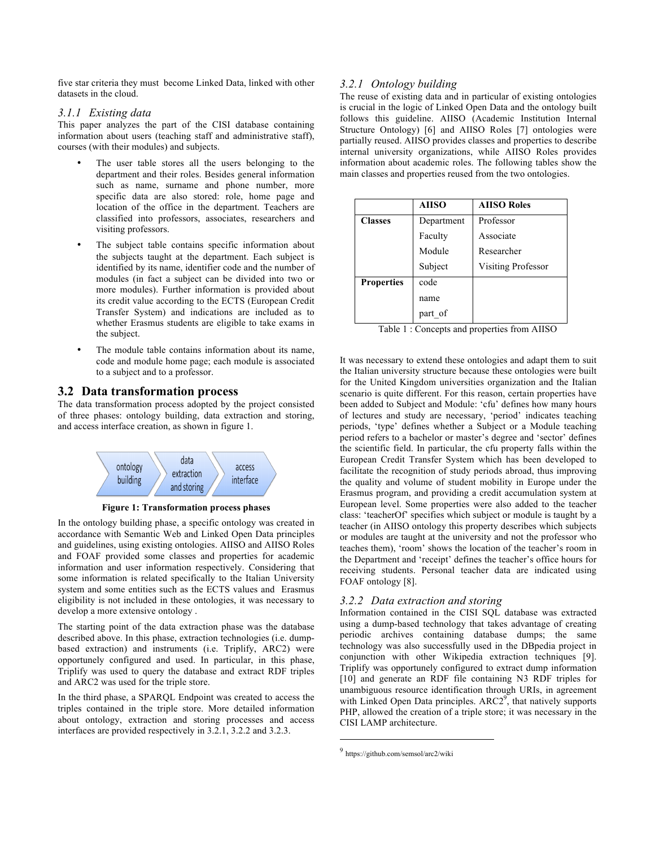five star criteria they must become Linked Data, linked with other datasets in the cloud.

### *3.1.1 Existing data*

This paper analyzes the part of the CISI database containing information about users (teaching staff and administrative staff), courses (with their modules) and subjects.

- The user table stores all the users belonging to the department and their roles. Besides general information such as name, surname and phone number, more specific data are also stored: role, home page and location of the office in the department. Teachers are classified into professors, associates, researchers and visiting professors.
- The subject table contains specific information about the subjects taught at the department. Each subject is identified by its name, identifier code and the number of modules (in fact a subject can be divided into two or more modules). Further information is provided about its credit value according to the ECTS (European Credit Transfer System) and indications are included as to whether Erasmus students are eligible to take exams in the subject.
- The module table contains information about its name, code and module home page; each module is associated to a subject and to a professor.

### **3.2 Data transformation process**

The data transformation process adopted by the project consisted of three phases: ontology building, data extraction and storing, and access interface creation, as shown in figure 1.



**Figure 1: Transformation process phases**

In the ontology building phase, a specific ontology was created in accordance with Semantic Web and Linked Open Data principles and guidelines, using existing ontologies. AIISO and AIISO Roles and FOAF provided some classes and properties for academic information and user information respectively. Considering that some information is related specifically to the Italian University system and some entities such as the ECTS values and Erasmus eligibility is not included in these ontologies, it was necessary to develop a more extensive ontology .

The starting point of the data extraction phase was the database described above. In this phase, extraction technologies (i.e. dumpbased extraction) and instruments (i.e. Triplify, ARC2) were opportunely configured and used. In particular, in this phase, Triplify was used to query the database and extract RDF triples and ARC2 was used for the triple store.

In the third phase, a SPARQL Endpoint was created to access the triples contained in the triple store. More detailed information about ontology, extraction and storing processes and access interfaces are provided respectively in 3.2.1, 3.2.2 and 3.2.3.

### *3.2.1 Ontology building*

The reuse of existing data and in particular of existing ontologies is crucial in the logic of Linked Open Data and the ontology built follows this guideline. AIISO (Academic Institution Internal Structure Ontology) [6] and AIISO Roles [7] ontologies were partially reused. AIISO provides classes and properties to describe internal university organizations, while AIISO Roles provides information about academic roles. The following tables show the main classes and properties reused from the two ontologies.

|                   | <b>AIISO</b> | <b>AIISO Roles</b> |  |  |  |
|-------------------|--------------|--------------------|--|--|--|
| <b>Classes</b>    | Department   | Professor          |  |  |  |
|                   | Faculty      | Associate          |  |  |  |
|                   | Module       | Researcher         |  |  |  |
|                   | Subject      | Visiting Professor |  |  |  |
| <b>Properties</b> | code         |                    |  |  |  |
|                   | name         |                    |  |  |  |
|                   | part of      |                    |  |  |  |

Table 1 : Concepts and properties from AIISO

It was necessary to extend these ontologies and adapt them to suit the Italian university structure because these ontologies were built for the United Kingdom universities organization and the Italian scenario is quite different. For this reason, certain properties have been added to Subject and Module: 'cfu' defines how many hours of lectures and study are necessary, 'period' indicates teaching periods, 'type' defines whether a Subject or a Module teaching period refers to a bachelor or master's degree and 'sector' defines the scientific field. In particular, the cfu property falls within the European Credit Transfer System which has been developed to facilitate the recognition of study periods abroad, thus improving the quality and volume of student mobility in Europe under the Erasmus program, and providing a credit accumulation system at European level. Some properties were also added to the teacher class: 'teacherOf' specifies which subject or module is taught by a teacher (in AIISO ontology this property describes which subjects or modules are taught at the university and not the professor who teaches them), 'room' shows the location of the teacher's room in the Department and 'receipt' defines the teacher's office hours for receiving students. Personal teacher data are indicated using FOAF ontology [8].

### *3.2.2 Data extraction and storing*

Information contained in the CISI SQL database was extracted using a dump-based technology that takes advantage of creating periodic archives containing database dumps; the same technology was also successfully used in the DBpedia project in conjunction with other Wikipedia extraction techniques [9]. Triplify was opportunely configured to extract dump information [10] and generate an RDF file containing N3 RDF triples for unambiguous resource identification through URIs, in agreement with Linked Open Data principles.  $ARC2^9$ , that natively supports PHP, allowed the creation of a triple store; it was necessary in the CISI LAMP architecture.

 $\overline{a}$ 

<sup>9</sup> https://github.com/semsol/arc2/wiki